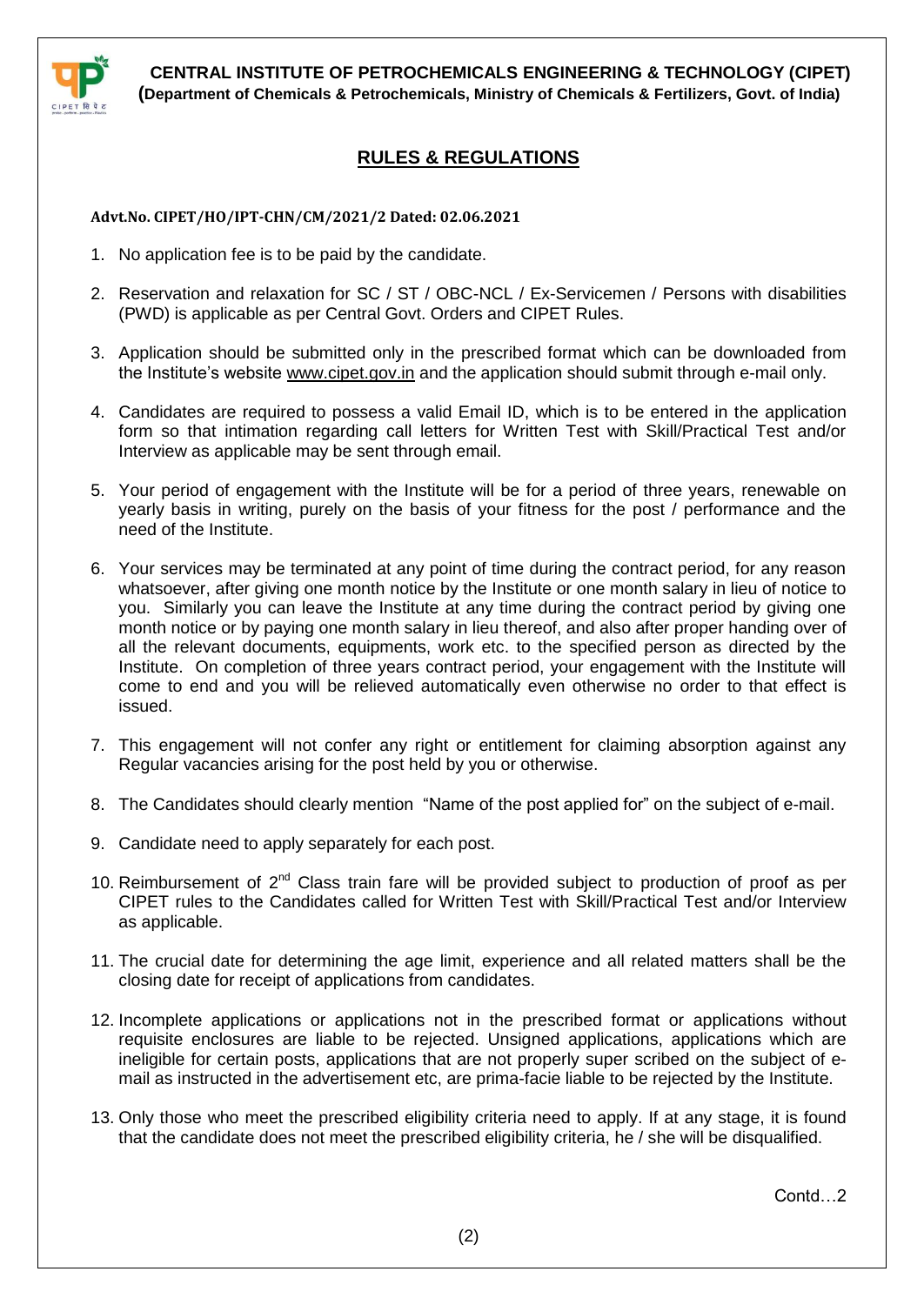

## **RULES & REGULATIONS**

## **Advt.No. CIPET/HO/IPT-CHN/CM/2021/2 Dated: 02.06.2021**

- 1. No application fee is to be paid by the candidate.
- 2. Reservation and relaxation for SC / ST / OBC-NCL / Ex-Servicemen / Persons with disabilities (PWD) is applicable as per Central Govt. Orders and CIPET Rules.
- 3. Application should be submitted only in the prescribed format which can be downloaded from the Institute's website [www.cipet.gov.in](http://www.cipet.gov.in/) and the application should submit through e-mail only.
- 4. Candidates are required to possess a valid Email ID, which is to be entered in the application form so that intimation regarding call letters for Written Test with Skill/Practical Test and/or Interview as applicable may be sent through email.
- 5. Your period of engagement with the Institute will be for a period of three years, renewable on yearly basis in writing, purely on the basis of your fitness for the post / performance and the need of the Institute.
- 6. Your services may be terminated at any point of time during the contract period, for any reason whatsoever, after giving one month notice by the Institute or one month salary in lieu of notice to you. Similarly you can leave the Institute at any time during the contract period by giving one month notice or by paying one month salary in lieu thereof, and also after proper handing over of all the relevant documents, equipments, work etc. to the specified person as directed by the Institute. On completion of three years contract period, your engagement with the Institute will come to end and you will be relieved automatically even otherwise no order to that effect is issued.
- 7. This engagement will not confer any right or entitlement for claiming absorption against any Regular vacancies arising for the post held by you or otherwise.
- 8. The Candidates should clearly mention "Name of the post applied for" on the subject of e-mail.
- 9. Candidate need to apply separately for each post.
- 10. Reimbursement of  $2^{nd}$  Class train fare will be provided subject to production of proof as per CIPET rules to the Candidates called for Written Test with Skill/Practical Test and/or Interview as applicable.
- 11. The crucial date for determining the age limit, experience and all related matters shall be the closing date for receipt of applications from candidates.
- 12. Incomplete applications or applications not in the prescribed format or applications without requisite enclosures are liable to be rejected. Unsigned applications, applications which are ineligible for certain posts, applications that are not properly super scribed on the subject of email as instructed in the advertisement etc, are prima-facie liable to be rejected by the Institute.
- 13. Only those who meet the prescribed eligibility criteria need to apply. If at any stage, it is found that the candidate does not meet the prescribed eligibility criteria, he / she will be disqualified.

Contd…2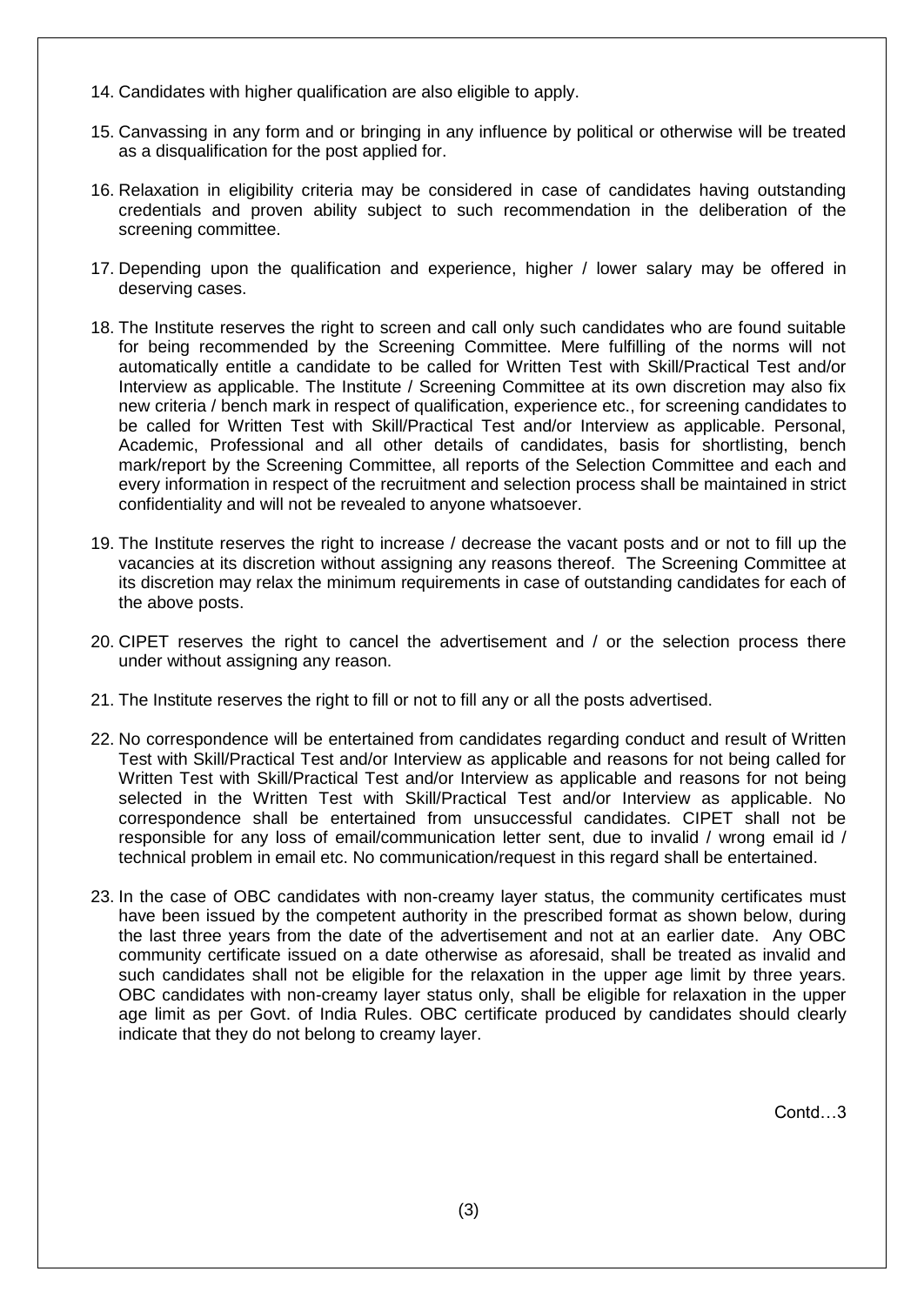- 14. Candidates with higher qualification are also eligible to apply.
- 15. Canvassing in any form and or bringing in any influence by political or otherwise will be treated as a disqualification for the post applied for.
- 16. Relaxation in eligibility criteria may be considered in case of candidates having outstanding credentials and proven ability subject to such recommendation in the deliberation of the screening committee.
- 17. Depending upon the qualification and experience, higher / lower salary may be offered in deserving cases.
- 18. The Institute reserves the right to screen and call only such candidates who are found suitable for being recommended by the Screening Committee. Mere fulfilling of the norms will not automatically entitle a candidate to be called for Written Test with Skill/Practical Test and/or Interview as applicable. The Institute / Screening Committee at its own discretion may also fix new criteria / bench mark in respect of qualification, experience etc., for screening candidates to be called for Written Test with Skill/Practical Test and/or Interview as applicable. Personal, Academic, Professional and all other details of candidates, basis for shortlisting, bench mark/report by the Screening Committee, all reports of the Selection Committee and each and every information in respect of the recruitment and selection process shall be maintained in strict confidentiality and will not be revealed to anyone whatsoever.
- 19. The Institute reserves the right to increase / decrease the vacant posts and or not to fill up the vacancies at its discretion without assigning any reasons thereof. The Screening Committee at its discretion may relax the minimum requirements in case of outstanding candidates for each of the above posts.
- 20. CIPET reserves the right to cancel the advertisement and / or the selection process there under without assigning any reason.
- 21. The Institute reserves the right to fill or not to fill any or all the posts advertised.
- 22. No correspondence will be entertained from candidates regarding conduct and result of Written Test with Skill/Practical Test and/or Interview as applicable and reasons for not being called for Written Test with Skill/Practical Test and/or Interview as applicable and reasons for not being selected in the Written Test with Skill/Practical Test and/or Interview as applicable. No correspondence shall be entertained from unsuccessful candidates. CIPET shall not be responsible for any loss of email/communication letter sent, due to invalid / wrong email id / technical problem in email etc. No communication/request in this regard shall be entertained.
- 23. In the case of OBC candidates with non-creamy layer status, the community certificates must have been issued by the competent authority in the prescribed format as shown below, during the last three years from the date of the advertisement and not at an earlier date. Any OBC community certificate issued on a date otherwise as aforesaid, shall be treated as invalid and such candidates shall not be eligible for the relaxation in the upper age limit by three years. OBC candidates with non-creamy layer status only, shall be eligible for relaxation in the upper age limit as per Govt. of India Rules. OBC certificate produced by candidates should clearly indicate that they do not belong to creamy layer.

Contd…3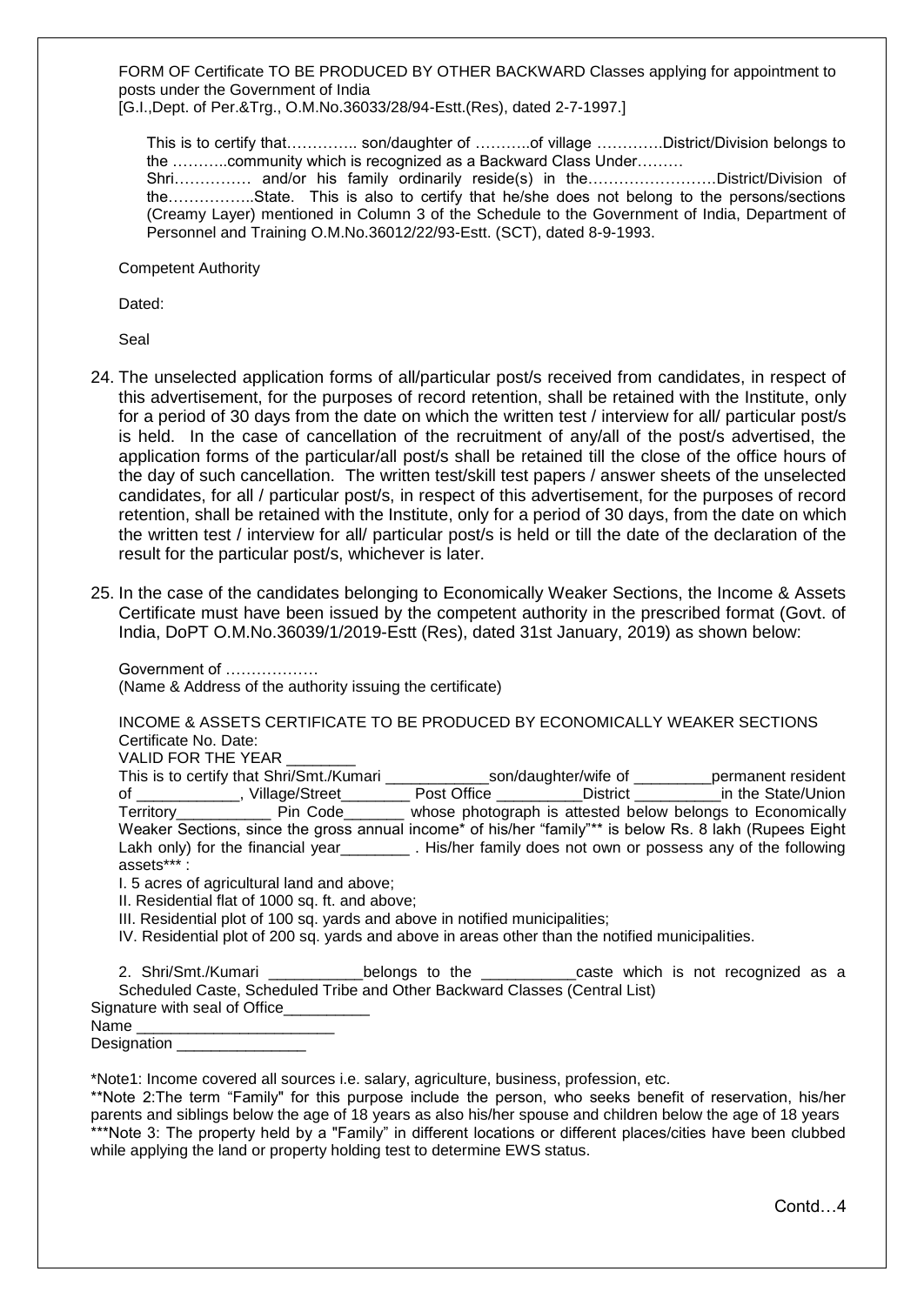FORM OF Certificate TO BE PRODUCED BY OTHER BACKWARD Classes applying for appointment to posts under the Government of India

[G.I.,Dept. of Per.&Trg., O.M.No.36033/28/94-Estt.(Res), dated 2-7-1997.]

This is to certify that………….. son/daughter of ………..of village ………….District/Division belongs to the ………..community which is recognized as a Backward Class Under………

Shri…………… and/or his family ordinarily reside(s) in the…………………….District/Division of the……………..State. This is also to certify that he/she does not belong to the persons/sections (Creamy Layer) mentioned in Column 3 of the Schedule to the Government of India, Department of Personnel and Training O.M.No.36012/22/93-Estt. (SCT), dated 8-9-1993.

Competent Authority

Dated:

Seal

- 24. The unselected application forms of all/particular post/s received from candidates, in respect of this advertisement, for the purposes of record retention, shall be retained with the Institute, only for a period of 30 days from the date on which the written test / interview for all/ particular post/s is held. In the case of cancellation of the recruitment of any/all of the post/s advertised, the application forms of the particular/all post/s shall be retained till the close of the office hours of the day of such cancellation. The written test/skill test papers / answer sheets of the unselected candidates, for all / particular post/s, in respect of this advertisement, for the purposes of record retention, shall be retained with the Institute, only for a period of 30 days, from the date on which the written test / interview for all/ particular post/s is held or till the date of the declaration of the result for the particular post/s, whichever is later.
- 25. In the case of the candidates belonging to Economically Weaker Sections, the Income & Assets Certificate must have been issued by the competent authority in the prescribed format (Govt. of India, DoPT O.M.No.36039/1/2019-Estt (Res), dated 31st January, 2019) as shown below:

Government of ……………… (Name & Address of the authority issuing the certificate)

INCOME & ASSETS CERTIFICATE TO BE PRODUCED BY ECONOMICALLY WEAKER SECTIONS Certificate No. Date:

VALID FOR THE YEAR

|                                                                                                                                                                                                                                | This is to certify that Shri/Smt./Kumari |             | son/daughter/wife of | permanent resident                                                                                      |
|--------------------------------------------------------------------------------------------------------------------------------------------------------------------------------------------------------------------------------|------------------------------------------|-------------|----------------------|---------------------------------------------------------------------------------------------------------|
| of the contract of the contract of the contract of the contract of the contract of the contract of the contract of the contract of the contract of the contract of the contract of the contract of the contract of the contrac | Village/Street                           | Post Office | District             | in the State/Union                                                                                      |
| Territory Pin Code                                                                                                                                                                                                             |                                          |             |                      | whose photograph is attested below belongs to Economically                                              |
|                                                                                                                                                                                                                                |                                          |             |                      | Weaker Sections, since the gross annual income* of his/her "family"** is below Rs. 8 lakh (Rupees Eight |
|                                                                                                                                                                                                                                | Lakh only) for the financial year        |             |                      | . His/her family does not own or possess any of the following                                           |
| assets***:                                                                                                                                                                                                                     |                                          |             |                      |                                                                                                         |

I. 5 acres of agricultural land and above;

II. Residential flat of 1000 sq. ft. and above;

III. Residential plot of 100 sq. yards and above in notified municipalities;

IV. Residential plot of 200 sq. yards and above in areas other than the notified municipalities.

2. Shri/Smt./Kumari \_\_\_\_\_\_\_\_\_\_\_\_\_\_belongs to the \_\_\_\_\_\_\_\_\_\_\_\_\_caste which is not recognized as a Scheduled Caste, Scheduled Tribe and Other Backward Classes (Central List)

| Signature with seal of Office |  |
|-------------------------------|--|
| Name                          |  |

\*Note1: Income covered all sources i.e. salary, agriculture, business, profession, etc.

\*\*Note 2:The term "Family" for this purpose include the person, who seeks benefit of reservation, his/her parents and siblings below the age of 18 years as also his/her spouse and children below the age of 18 years \*\*\*Note 3: The property held by a "Family" in different locations or different places/cities have been clubbed while applying the land or property holding test to determine EWS status.